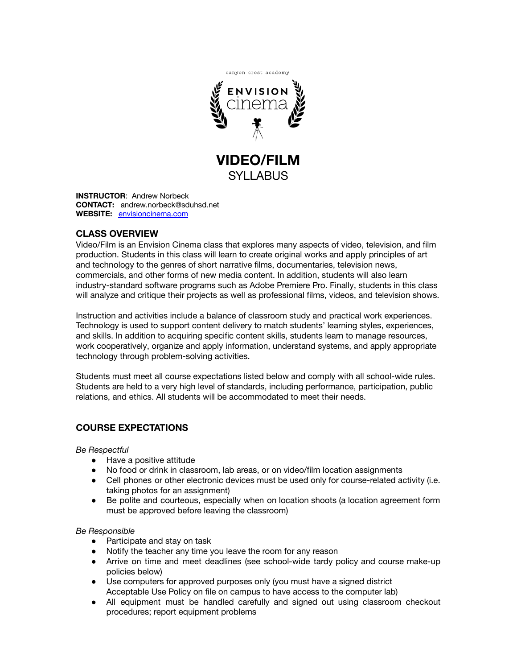

SYLLABUS

**INSTRUCTOR**: Andrew Norbeck **CONTACT:** andrew.norbeck@sduhsd.net **WEBSITE:** [envisioncinema.com](http://www.envisioncinema.com/)

# **CLASS OVERVIEW**

Video/Film is an Envision Cinema class that explores many aspects of video, television, and film production. Students in this class will learn to create original works and apply principles of art and technology to the genres of short narrative films, documentaries, television news, commercials, and other forms of new media content. In addition, students will also learn industry-standard software programs such as Adobe Premiere Pro. Finally, students in this class will analyze and critique their projects as well as professional films, videos, and television shows.

Instruction and activities include a balance of classroom study and practical work experiences. Technology is used to support content delivery to match students' learning styles, experiences, and skills. In addition to acquiring specific content skills, students learn to manage resources, work cooperatively, organize and apply information, understand systems, and apply appropriate technology through problem-solving activities.

Students must meet all course expectations listed below and comply with all school-wide rules. Students are held to a very high level of standards, including performance, participation, public relations, and ethics. All students will be accommodated to meet their needs.

# **COURSE EXPECTATIONS**

*Be Respectful*

- Have a positive attitude
- No food or drink in classroom, lab areas, or on video/film location assignments
- Cell phones or other electronic devices must be used only for course-related activity (i.e. taking photos for an assignment)
- Be polite and courteous, especially when on location shoots (a location agreement form must be approved before leaving the classroom)

#### *Be Responsible*

- Participate and stay on task
- Notify the teacher any time you leave the room for any reason
- Arrive on time and meet deadlines (see school-wide tardy policy and course make-up policies below)
- Use computers for approved purposes only (you must have a signed district Acceptable Use Policy on file on campus to have access to the computer lab)
- All equipment must be handled carefully and signed out using classroom checkout procedures; report equipment problems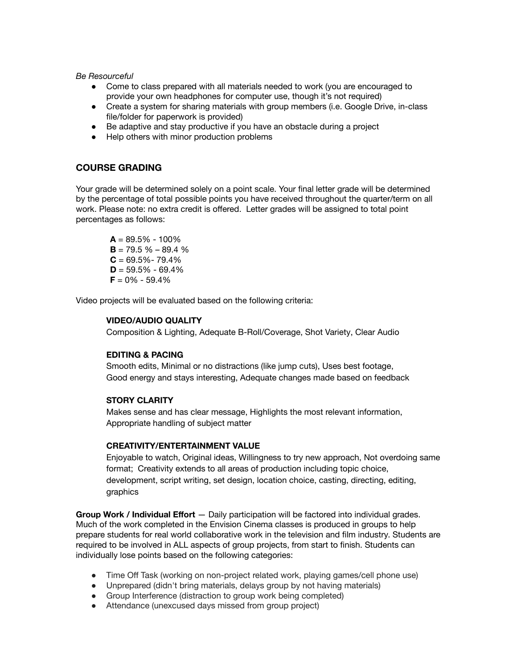*Be Resourceful*

- Come to class prepared with all materials needed to work (you are encouraged to provide your own headphones for computer use, though it's not required)
- Create a system for sharing materials with group members (i.e. Google Drive, in-class file/folder for paperwork is provided)
- Be adaptive and stay productive if you have an obstacle during a project
- Help others with minor production problems

## **COURSE GRADING**

Your grade will be determined solely on a point scale. Your final letter grade will be determined by the percentage of total possible points you have received throughout the quarter/term on all work. Please note: no extra credit is offered. Letter grades will be assigned to total point percentages as follows:

 $A = 89.5\% - 100\%$  $B = 79.5 \% - 89.4 \%$  $C = 69.5\% - 79.4\%$  $D = 59.5\% - 69.4\%$  $F = 0\% - 59.4\%$ 

Video projects will be evaluated based on the following criteria:

### **VIDEO/AUDIO QUALITY**

Composition & Lighting, Adequate B-Roll/Coverage, Shot Variety, Clear Audio

## **EDITING & PACING**

Smooth edits, Minimal or no distractions (like jump cuts), Uses best footage, Good energy and stays interesting, Adequate changes made based on feedback

#### **STORY CLARITY**

Makes sense and has clear message, Highlights the most relevant information, Appropriate handling of subject matter

#### **CREATIVITY/ENTERTAINMENT VALUE**

Enjoyable to watch, Original ideas, Willingness to try new approach, Not overdoing same format; Creativity extends to all areas of production including topic choice, development, script writing, set design, location choice, casting, directing, editing, graphics

**Group Work / Individual Effort** — Daily participation will be factored into individual grades. Much of the work completed in the Envision Cinema classes is produced in groups to help prepare students for real world collaborative work in the television and film industry. Students are required to be involved in ALL aspects of group projects, from start to finish. Students can individually lose points based on the following categories:

- Time Off Task (working on non-project related work, playing games/cell phone use)
- Unprepared (didn't bring materials, delays group by not having materials)
- Group Interference (distraction to group work being completed)
- Attendance (unexcused days missed from group project)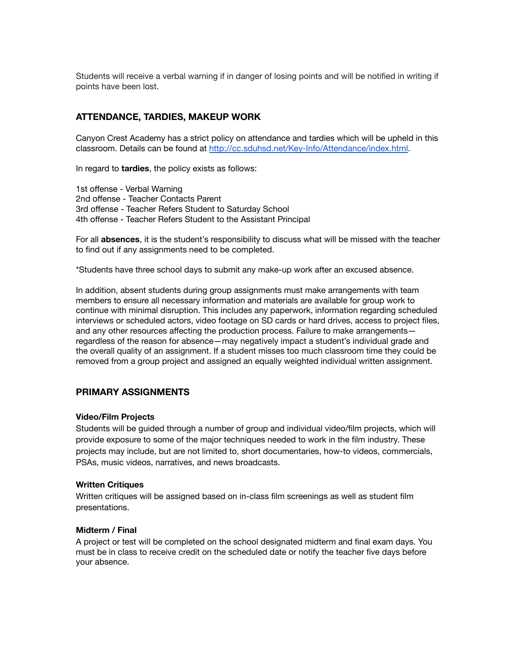Students will receive a verbal warning if in danger of losing points and will be notified in writing if points have been lost.

## **ATTENDANCE, TARDIES, MAKEUP WORK**

Canyon Crest Academy has a strict policy on attendance and tardies which will be upheld in this classroom. Details can be found at <http://cc.sduhsd.net/Key-Info/Attendance/index.html>.

In regard to **tardies**, the policy exists as follows:

1st offense - Verbal Warning 2nd offense - Teacher Contacts Parent 3rd offense - Teacher Refers Student to Saturday School 4th offense - Teacher Refers Student to the Assistant Principal

For all **absences**, it is the student's responsibility to discuss what will be missed with the teacher to find out if any assignments need to be completed.

\*Students have three school days to submit any make-up work after an excused absence.

In addition, absent students during group assignments must make arrangements with team members to ensure all necessary information and materials are available for group work to continue with minimal disruption. This includes any paperwork, information regarding scheduled interviews or scheduled actors, video footage on SD cards or hard drives, access to project files, and any other resources affecting the production process. Failure to make arrangements regardless of the reason for absence—may negatively impact a student's individual grade and the overall quality of an assignment. If a student misses too much classroom time they could be removed from a group project and assigned an equally weighted individual written assignment.

## **PRIMARY ASSIGNMENTS**

#### **Video/Film Projects**

Students will be guided through a number of group and individual video/film projects, which will provide exposure to some of the major techniques needed to work in the film industry. These projects may include, but are not limited to, short documentaries, how-to videos, commercials, PSAs, music videos, narratives, and news broadcasts.

#### **Written Critiques**

Written critiques will be assigned based on in-class film screenings as well as student film presentations.

#### **Midterm / Final**

A project or test will be completed on the school designated midterm and final exam days. You must be in class to receive credit on the scheduled date or notify the teacher five days before your absence.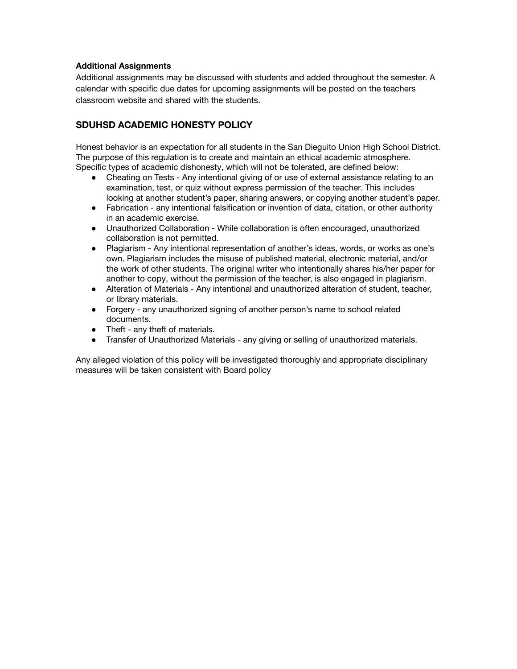### **Additional Assignments**

Additional assignments may be discussed with students and added throughout the semester. A calendar with specific due dates for upcoming assignments will be posted on the teachers classroom website and shared with the students.

# **SDUHSD ACADEMIC HONESTY POLICY**

Honest behavior is an expectation for all students in the San Dieguito Union High School District. The purpose of this regulation is to create and maintain an ethical academic atmosphere. Specific types of academic dishonesty, which will not be tolerated, are defined below:

- Cheating on Tests Any intentional giving of or use of external assistance relating to an examination, test, or quiz without express permission of the teacher. This includes looking at another student's paper, sharing answers, or copying another student's paper.
- Fabrication any intentional falsification or invention of data, citation, or other authority in an academic exercise.
- Unauthorized Collaboration While collaboration is often encouraged, unauthorized collaboration is not permitted.
- Plagiarism Any intentional representation of another's ideas, words, or works as one's own. Plagiarism includes the misuse of published material, electronic material, and/or the work of other students. The original writer who intentionally shares his/her paper for another to copy, without the permission of the teacher, is also engaged in plagiarism.
- Alteration of Materials Any intentional and unauthorized alteration of student, teacher, or library materials.
- Forgery any unauthorized signing of another person's name to school related documents.
- Theft any theft of materials.
- Transfer of Unauthorized Materials any giving or selling of unauthorized materials.

Any alleged violation of this policy will be investigated thoroughly and appropriate disciplinary measures will be taken consistent with Board policy